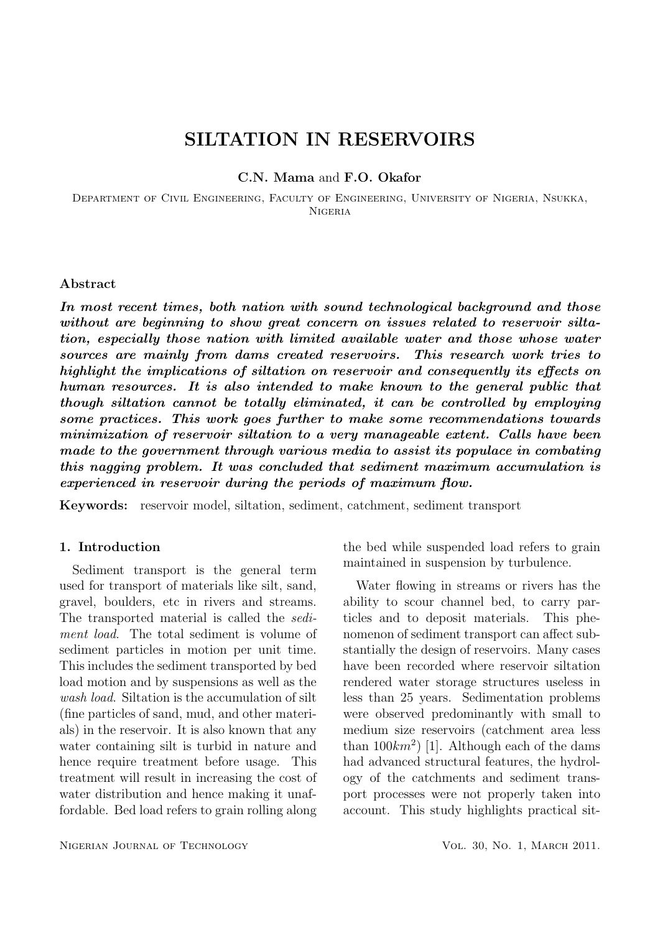# SILTATION IN RESERVOIRS

C.N. Mama and F.O. Okafor

Department of Civil Engineering, Faculty of Engineering, University of Nigeria, Nsukka, Nigeria

### Abstract

In most recent times, both nation with sound technological background and those without are beginning to show great concern on issues related to reservoir siltation, especially those nation with limited available water and those whose water sources are mainly from dams created reservoirs. This research work tries to highlight the implications of siltation on reservoir and consequently its effects on human resources. It is also intended to make known to the general public that though siltation cannot be totally eliminated, it can be controlled by employing some practices. This work goes further to make some recommendations towards minimization of reservoir siltation to a very manageable extent. Calls have been made to the government through various media to assist its populace in combating this nagging problem. It was concluded that sediment maximum accumulation is experienced in reservoir during the periods of maximum flow.

Keywords: reservoir model, siltation, sediment, catchment, sediment transport

## 1. Introduction

Sediment transport is the general term used for transport of materials like silt, sand, gravel, boulders, etc in rivers and streams. The transported material is called the sediment load. The total sediment is volume of sediment particles in motion per unit time. This includes the sediment transported by bed load motion and by suspensions as well as the wash *load*. Siltation is the accumulation of silt (fine particles of sand, mud, and other materials) in the reservoir. It is also known that any water containing silt is turbid in nature and hence require treatment before usage. This treatment will result in increasing the cost of water distribution and hence making it unaffordable. Bed load refers to grain rolling along the bed while suspended load refers to grain maintained in suspension by turbulence.

Water flowing in streams or rivers has the ability to scour channel bed, to carry particles and to deposit materials. This phenomenon of sediment transport can affect substantially the design of reservoirs. Many cases have been recorded where reservoir siltation rendered water storage structures useless in less than 25 years. Sedimentation problems were observed predominantly with small to medium size reservoirs (catchment area less than  $100km^2$  [1]. Although each of the dams had advanced structural features, the hydrology of the catchments and sediment transport processes were not properly taken into account. This study highlights practical sit-

NIGERIAN JOURNAL OF TECHNOLOGY VOL. 30, NO. 1, MARCH 2011.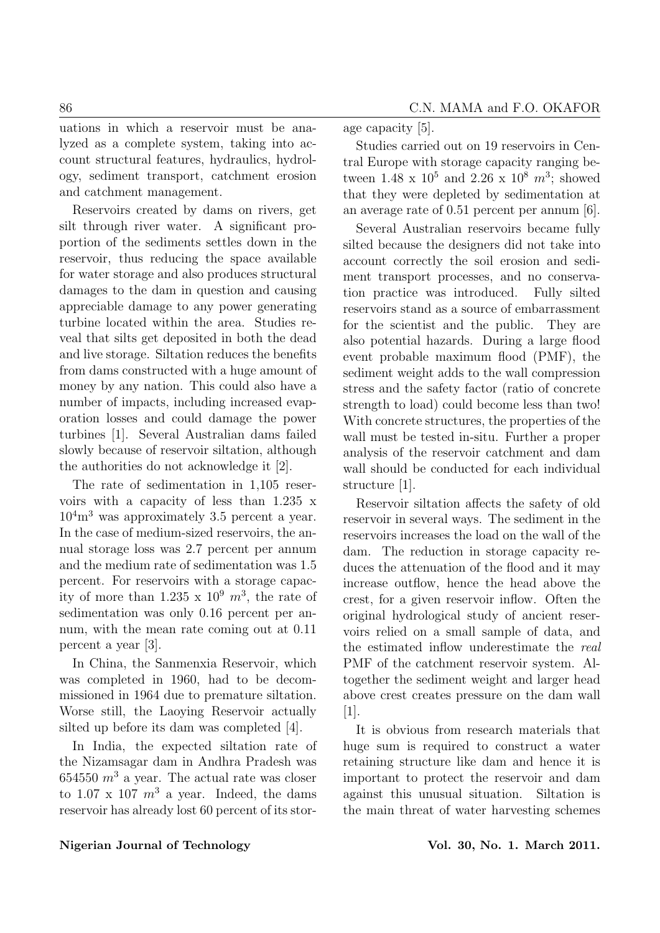uations in which a reservoir must be analyzed as a complete system, taking into account structural features, hydraulics, hydrology, sediment transport, catchment erosion and catchment management.

Reservoirs created by dams on rivers, get silt through river water. A significant proportion of the sediments settles down in the reservoir, thus reducing the space available for water storage and also produces structural damages to the dam in question and causing appreciable damage to any power generating turbine located within the area. Studies reveal that silts get deposited in both the dead and live storage. Siltation reduces the benefits from dams constructed with a huge amount of money by any nation. This could also have a number of impacts, including increased evaporation losses and could damage the power turbines [1]. Several Australian dams failed slowly because of reservoir siltation, although the authorities do not acknowledge it [2].

The rate of sedimentation in 1,105 reservoirs with a capacity of less than 1.235 x  $10^4$ m<sup>3</sup> was approximately 3.5 percent a year. In the case of medium-sized reservoirs, the annual storage loss was 2.7 percent per annum and the medium rate of sedimentation was 1.5 percent. For reservoirs with a storage capacity of more than  $1.235 \times 10^9$   $m^3$ , the rate of sedimentation was only 0.16 percent per annum, with the mean rate coming out at 0.11 percent a year [3].

In China, the Sanmenxia Reservoir, which was completed in 1960, had to be decommissioned in 1964 due to premature siltation. Worse still, the Laoying Reservoir actually silted up before its dam was completed [4].

In India, the expected siltation rate of the Nizamsagar dam in Andhra Pradesh was 654550  $m^3$  a year. The actual rate was closer to 1.07 x 107  $m^3$  a year. Indeed, the dams reservoir has already lost 60 percent of its storage capacity [5].

Studies carried out on 19 reservoirs in Central Europe with storage capacity ranging between 1.48 x  $10^5$  and 2.26 x  $10^8$   $m^3$ ; showed that they were depleted by sedimentation at an average rate of 0.51 percent per annum [6].

Several Australian reservoirs became fully silted because the designers did not take into account correctly the soil erosion and sediment transport processes, and no conservation practice was introduced. Fully silted reservoirs stand as a source of embarrassment for the scientist and the public. They are also potential hazards. During a large flood event probable maximum flood (PMF), the sediment weight adds to the wall compression stress and the safety factor (ratio of concrete strength to load) could become less than two! With concrete structures, the properties of the wall must be tested in-situ. Further a proper analysis of the reservoir catchment and dam wall should be conducted for each individual structure [1].

Reservoir siltation affects the safety of old reservoir in several ways. The sediment in the reservoirs increases the load on the wall of the dam. The reduction in storage capacity reduces the attenuation of the flood and it may increase outflow, hence the head above the crest, for a given reservoir inflow. Often the original hydrological study of ancient reservoirs relied on a small sample of data, and the estimated inflow underestimate the real PMF of the catchment reservoir system. Altogether the sediment weight and larger head above crest creates pressure on the dam wall  $|1|$ .

It is obvious from research materials that huge sum is required to construct a water retaining structure like dam and hence it is important to protect the reservoir and dam against this unusual situation. Siltation is the main threat of water harvesting schemes

### Nigerian Journal of Technology Vol. 30, No. 1. March 2011.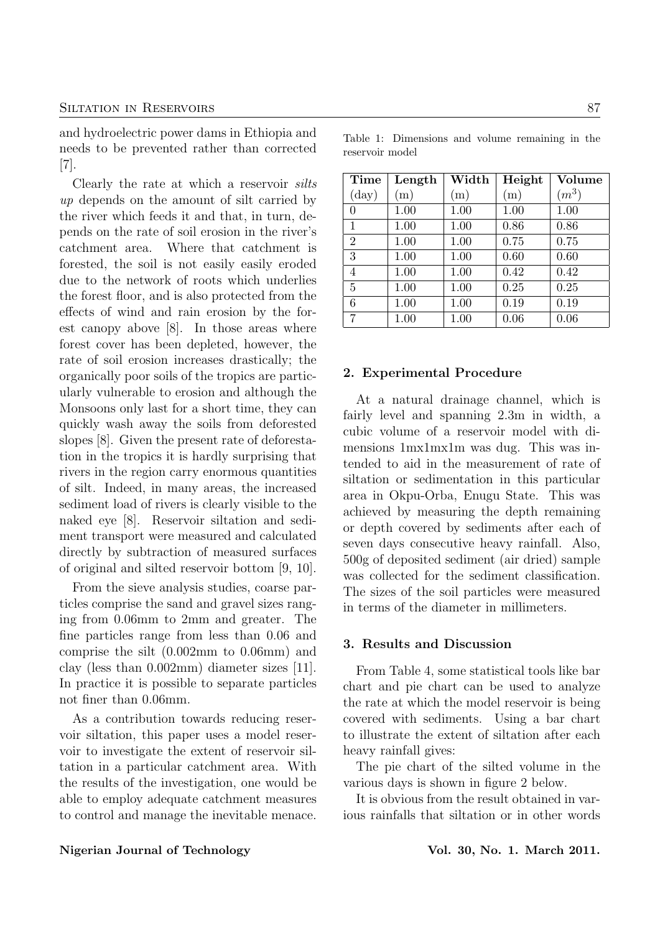#### SILTATION IN RESERVOIRS 87

and hydroelectric power dams in Ethiopia and needs to be prevented rather than corrected [7].

Clearly the rate at which a reservoir silts up depends on the amount of silt carried by the river which feeds it and that, in turn, depends on the rate of soil erosion in the river's catchment area. Where that catchment is forested, the soil is not easily easily eroded due to the network of roots which underlies the forest floor, and is also protected from the effects of wind and rain erosion by the forest canopy above [8]. In those areas where forest cover has been depleted, however, the rate of soil erosion increases drastically; the organically poor soils of the tropics are particularly vulnerable to erosion and although the Monsoons only last for a short time, they can quickly wash away the soils from deforested slopes [8]. Given the present rate of deforestation in the tropics it is hardly surprising that rivers in the region carry enormous quantities of silt. Indeed, in many areas, the increased sediment load of rivers is clearly visible to the naked eye [8]. Reservoir siltation and sediment transport were measured and calculated directly by subtraction of measured surfaces of original and silted reservoir bottom [9, 10].

From the sieve analysis studies, coarse particles comprise the sand and gravel sizes ranging from 0.06mm to 2mm and greater. The fine particles range from less than 0.06 and comprise the silt (0.002mm to 0.06mm) and clay (less than 0.002mm) diameter sizes [11]. In practice it is possible to separate particles not finer than 0.06mm.

As a contribution towards reducing reservoir siltation, this paper uses a model reservoir to investigate the extent of reservoir siltation in a particular catchment area. With the results of the investigation, one would be able to employ adequate catchment measures to control and manage the inevitable menace.

Table 1: Dimensions and volume remaining in the reservoir model

| <b>Time</b>    | Length | Width | Height | Volume  |
|----------------|--------|-------|--------|---------|
| $(\text{day})$ | (m)    | (m)   | (m)    | $(m^3)$ |
| $\overline{0}$ | 1.00   | 1.00  | 1.00   | 1.00    |
| $\mathbf{1}$   | 1.00   | 1.00  | 0.86   | 0.86    |
| $\overline{2}$ | 1.00   | 1.00  | 0.75   | 0.75    |
| 3              | 1.00   | 1.00  | 0.60   | 0.60    |
| $\overline{4}$ | 1.00   | 1.00  | 0.42   | 0.42    |
| $\overline{5}$ | 1.00   | 1.00  | 0.25   | 0.25    |
| 6              | 1.00   | 1.00  | 0.19   | 0.19    |
| 7              | 1.00   | 1.00  | 0.06   | 0.06    |

#### 2. Experimental Procedure

At a natural drainage channel, which is fairly level and spanning 2.3m in width, a cubic volume of a reservoir model with dimensions 1mx1mx1m was dug. This was intended to aid in the measurement of rate of siltation or sedimentation in this particular area in Okpu-Orba, Enugu State. This was achieved by measuring the depth remaining or depth covered by sediments after each of seven days consecutive heavy rainfall. Also, 500g of deposited sediment (air dried) sample was collected for the sediment classification. The sizes of the soil particles were measured in terms of the diameter in millimeters.

#### 3. Results and Discussion

From Table 4, some statistical tools like bar chart and pie chart can be used to analyze the rate at which the model reservoir is being covered with sediments. Using a bar chart to illustrate the extent of siltation after each heavy rainfall gives:

The pie chart of the silted volume in the various days is shown in figure 2 below.

It is obvious from the result obtained in various rainfalls that siltation or in other words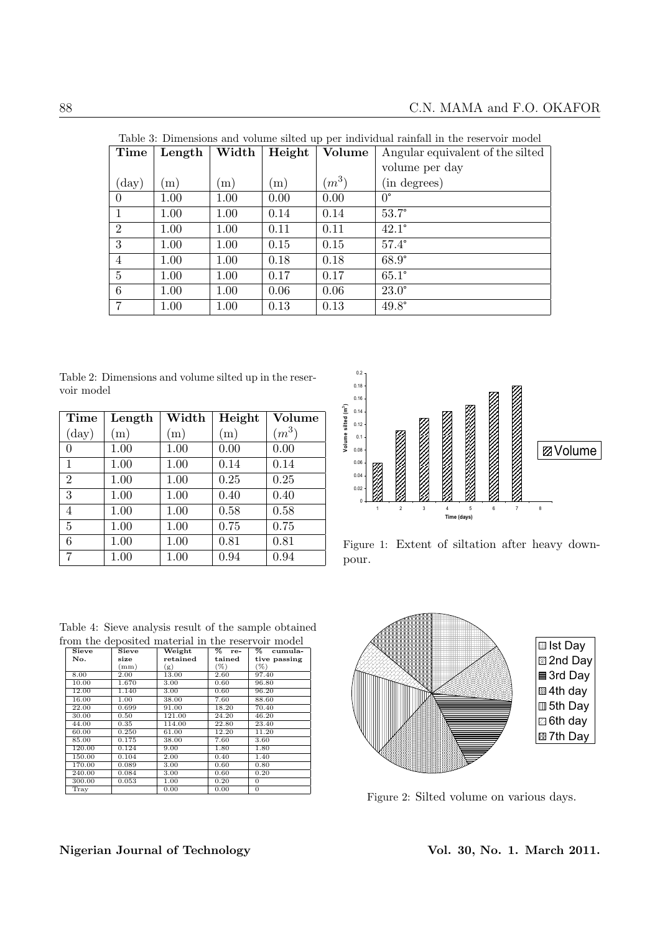| Table 3: Dimensions and volume silted up per individual rainfall in the reservoir model<br>Width<br>Height<br>Volume |              |      |      |         |                                  |
|----------------------------------------------------------------------------------------------------------------------|--------------|------|------|---------|----------------------------------|
| Time                                                                                                                 | Length       |      |      |         | Angular equivalent of the silted |
|                                                                                                                      |              |      |      |         | volume per day                   |
| $(\text{day})$                                                                                                       | $\mathbf{m}$ | (m)  | (m)  | $(m^3)$ | (in degrees)                     |
| $\overline{0}$                                                                                                       | 1.00         | 1.00 | 0.00 | 0.00    | $0^{\circ}$                      |
| 1                                                                                                                    | 1.00         | 1.00 | 0.14 | 0.14    | $53.7^\circ$                     |
| $\overline{2}$                                                                                                       | 1.00         | 1.00 | 0.11 | 0.11    | $42.1^\circ$                     |
| 3                                                                                                                    | 1.00         | 1.00 | 0.15 | 0.15    | $57.4^\circ$                     |
| $\overline{4}$                                                                                                       | 1.00         | 1.00 | 0.18 | 0.18    | $68.9^\circ$                     |
| 5                                                                                                                    | 1.00         | 1.00 | 0.17 | 0.17    | $65.1^\circ$                     |
| 6                                                                                                                    | 1.00         | 1.00 | 0.06 | 0.06    | $23.0^\circ$                     |
| 7                                                                                                                    | 1.00         | 1.00 | 0.13 | 0.13    | $49.8^\circ$                     |

Table 3: Dimensions and volume silted up per individual rainfall in the reservoir model

Table 2: Dimensions and volume silted up in the reservoir model

| Time           | Length | Width | Height | Volume  |
|----------------|--------|-------|--------|---------|
| $(\text{day})$ | (m)    | (m)   | (m)    | $(m^3)$ |
| $\theta$       | 1.00   | 1.00  | 0.00   | 0.00    |
| 1              | 1.00   | 1.00  | 0.14   | 0.14    |
| $\overline{2}$ | 1.00   | 1.00  | 0.25   | 0.25    |
| 3              | 1.00   | 1.00  | 0.40   | 0.40    |
| $\overline{4}$ | 1.00   | 1.00  | 0.58   | 0.58    |
| $\overline{5}$ | 1.00   | 1.00  | 0.75   | 0.75    |
| 6              | 1.00   | 1.00  | 0.81   | 0.81    |
| 7              | 1.00   | 1.00  | 0.94   | 0.94    |



Figure 1: Extent of siltation after heavy downpour.

| Table 4: Sieve analysis result of the sample obtained |       |          |          |              |  |
|-------------------------------------------------------|-------|----------|----------|--------------|--|
| from the deposited material in the reservoir model    |       |          |          |              |  |
| Sieve                                                 | Sieve | Weight   | $\%$ re- | % cumula-    |  |
| No.                                                   | size  | retained | tained   | tive passing |  |
|                                                       | (mm)  | (g)      | $(\%)$   | (% )         |  |
| 8.00                                                  | 2.00  | 13.00    | 2.60     | 97.40        |  |
| 10,00                                                 | 1.670 | 3.00     | 0.60     | 96.80        |  |

|        | mm)   | (g)    | $(\%)$ | $(\%)$         |
|--------|-------|--------|--------|----------------|
| 8.00   | 2.00  | 13.00  | 2.60   | 97.40          |
| 10.00  | 1.670 | 3.00   | 0.60   | 96.80          |
| 12.00  | 1.140 | 3.00   | 0.60   | 96.20          |
| 16.00  | 1.00  | 38.00  | 7.60   | 88.60          |
| 22.00  | 0.699 | 91.00  | 18.20  | 70.40          |
| 30.00  | 0.50  | 121.00 | 24.20  | 46.20          |
| 44.00  | 0.35  | 114.00 | 22.80  | 23.40          |
| 60.00  | 0.250 | 61.00  | 12.20  | 11.20          |
| 85.00  | 0.175 | 38.00  | 7.60   | 3.60           |
| 120.00 | 0.124 | 9.00   | 1.80   | 1.80           |
| 150.00 | 0.104 | 2.00   | 0.40   | 1.40           |
| 170.00 | 0.089 | 3.00   | 0.60   | 0.80           |
| 240.00 | 0.084 | 3.00   | 0.60   | 0.20           |
| 300.00 | 0.053 | 1.00   | 0.20   | $\Omega$       |
| Trav   |       | 0.00   | 0.00   | $\overline{0}$ |



Figure 2: Silted volume on various days.

## Nigerian Journal of Technology Vol. 30, No. 1. March 2011.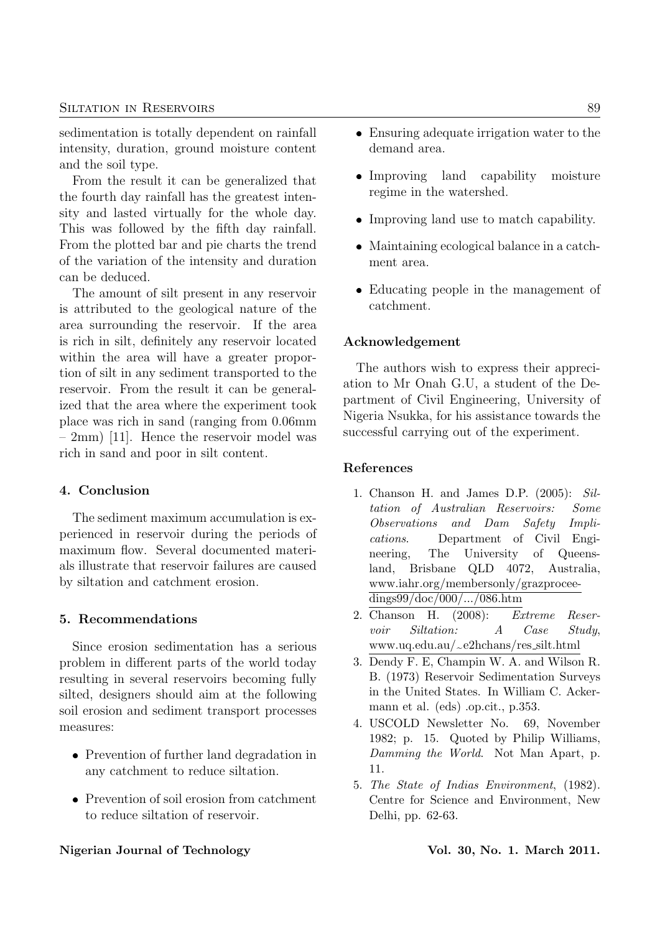#### SILTATION IN RESERVOIRS 89

sedimentation is totally dependent on rainfall intensity, duration, ground moisture content and the soil type.

From the result it can be generalized that the fourth day rainfall has the greatest intensity and lasted virtually for the whole day. This was followed by the fifth day rainfall. From the plotted bar and pie charts the trend of the variation of the intensity and duration can be deduced.

The amount of silt present in any reservoir is attributed to the geological nature of the area surrounding the reservoir. If the area is rich in silt, definitely any reservoir located within the area will have a greater proportion of silt in any sediment transported to the reservoir. From the result it can be generalized that the area where the experiment took place was rich in sand (ranging from 0.06mm – 2mm) [11]. Hence the reservoir model was rich in sand and poor in silt content.

## 4. Conclusion

The sediment maximum accumulation is experienced in reservoir during the periods of maximum flow. Several documented materials illustrate that reservoir failures are caused by siltation and catchment erosion.

## 5. Recommendations

Since erosion sedimentation has a serious problem in different parts of the world today resulting in several reservoirs becoming fully silted, designers should aim at the following soil erosion and sediment transport processes measures:

- Prevention of further land degradation in any catchment to reduce siltation.
- Prevention of soil erosion from catchment to reduce siltation of reservoir.

#### Nigerian Journal of Technology **Vol. 30, No. 1. March 2011**.

- Ensuring adequate irrigation water to the demand area.
- Improving land capability moisture regime in the watershed.
- Improving land use to match capability.
- Maintaining ecological balance in a catchment area.
- Educating people in the management of catchment.

#### Acknowledgement

The authors wish to express their appreciation to Mr Onah G.U, a student of the Department of Civil Engineering, University of Nigeria Nsukka, for his assistance towards the successful carrying out of the experiment.

## References

- 1. Chanson H. and James D.P. (2005): Siltation of Australian Reservoirs: Some Observations and Dam Safety Implications. Department of Civil Engineering, The University of Queensland, Brisbane QLD 4072, Australia, www.iahr.org/membersonly/grazproceedings99/doc/000/.../086.htm
- 2. Chanson H. (2008): Extreme Reservoir Siltation: A Case Study, www.uq.edu.au/~e2hchans/res silt.html
- 3. Dendy F. E, Champin W. A. and Wilson R. B. (1973) Reservoir Sedimentation Surveys in the United States. In William C. Ackermann et al. (eds) .op.cit., p.353.
- 4. USCOLD Newsletter No. 69, November 1982; p. 15. Quoted by Philip Williams, Damming the World. Not Man Apart, p. 11.
- 5. The State of Indias Environment, (1982). Centre for Science and Environment, New Delhi, pp. 62-63.